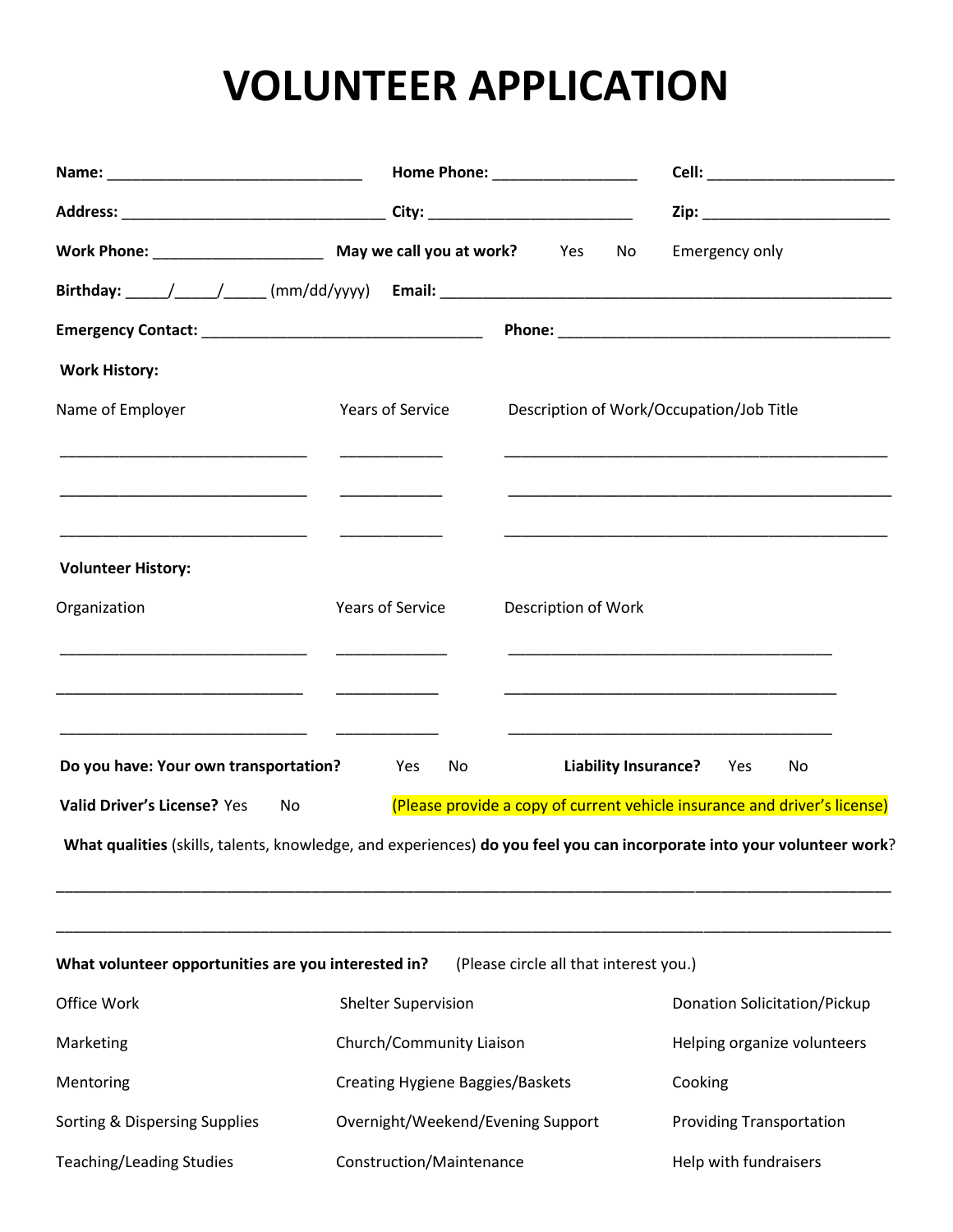## **VOLUNTEER APPLICATION**

|                                                                                                                                            |                                                                                                                                                                                                                                      |                                          | Cell: ___________________________<br>Zip: __________________________                                                 |  |
|--------------------------------------------------------------------------------------------------------------------------------------------|--------------------------------------------------------------------------------------------------------------------------------------------------------------------------------------------------------------------------------------|------------------------------------------|----------------------------------------------------------------------------------------------------------------------|--|
|                                                                                                                                            |                                                                                                                                                                                                                                      |                                          |                                                                                                                      |  |
|                                                                                                                                            |                                                                                                                                                                                                                                      | No                                       | Emergency only                                                                                                       |  |
|                                                                                                                                            |                                                                                                                                                                                                                                      |                                          |                                                                                                                      |  |
|                                                                                                                                            |                                                                                                                                                                                                                                      |                                          |                                                                                                                      |  |
| <b>Work History:</b>                                                                                                                       |                                                                                                                                                                                                                                      |                                          |                                                                                                                      |  |
| Name of Employer<br>Years of Service                                                                                                       |                                                                                                                                                                                                                                      | Description of Work/Occupation/Job Title |                                                                                                                      |  |
|                                                                                                                                            |                                                                                                                                                                                                                                      |                                          |                                                                                                                      |  |
| <b>Volunteer History:</b>                                                                                                                  |                                                                                                                                                                                                                                      |                                          |                                                                                                                      |  |
| Organization                                                                                                                               | Years of Service                                                                                                                                                                                                                     | Description of Work                      |                                                                                                                      |  |
| the control of the control of the control of the control of the control of the control of<br><u> 1989 - Andrea Andrew Maria (h. 1989).</u> |                                                                                                                                                                                                                                      |                                          | <u> 1989 - Johann John Harry Harry Harry Harry Harry Harry Harry Harry Harry Harry Harry Harry Harry Harry Harry</u> |  |
| Do you have: Your own transportation?                                                                                                      | Yes<br>No provide a contractor of the set of the set of the set of the set of the set of the set of the set of the set of the set of the set of the set of the set of the set of the set of the set of the set of the set of the set | <b>Liability Insurance?</b>              | Yes<br>No                                                                                                            |  |
| <b>Valid Driver's License? Yes</b><br>No                                                                                                   |                                                                                                                                                                                                                                      |                                          | (Please provide a copy of current vehicle insurance and driver's license)                                            |  |
| What qualities (skills, talents, knowledge, and experiences) do you feel you can incorporate into your volunteer work?                     |                                                                                                                                                                                                                                      |                                          |                                                                                                                      |  |
| What volunteer opportunities are you interested in?                                                                                        |                                                                                                                                                                                                                                      | (Please circle all that interest you.)   |                                                                                                                      |  |
| Office Work                                                                                                                                | <b>Shelter Supervision</b>                                                                                                                                                                                                           |                                          | <b>Donation Solicitation/Pickup</b>                                                                                  |  |
| Marketing                                                                                                                                  | Church/Community Liaison                                                                                                                                                                                                             |                                          | Helping organize volunteers                                                                                          |  |
| Mentoring                                                                                                                                  | <b>Creating Hygiene Baggies/Baskets</b>                                                                                                                                                                                              |                                          | Cooking                                                                                                              |  |
| Sorting & Dispersing Supplies                                                                                                              | Overnight/Weekend/Evening Support                                                                                                                                                                                                    |                                          | <b>Providing Transportation</b>                                                                                      |  |
| <b>Teaching/Leading Studies</b>                                                                                                            | Construction/Maintenance                                                                                                                                                                                                             |                                          | Help with fundraisers                                                                                                |  |